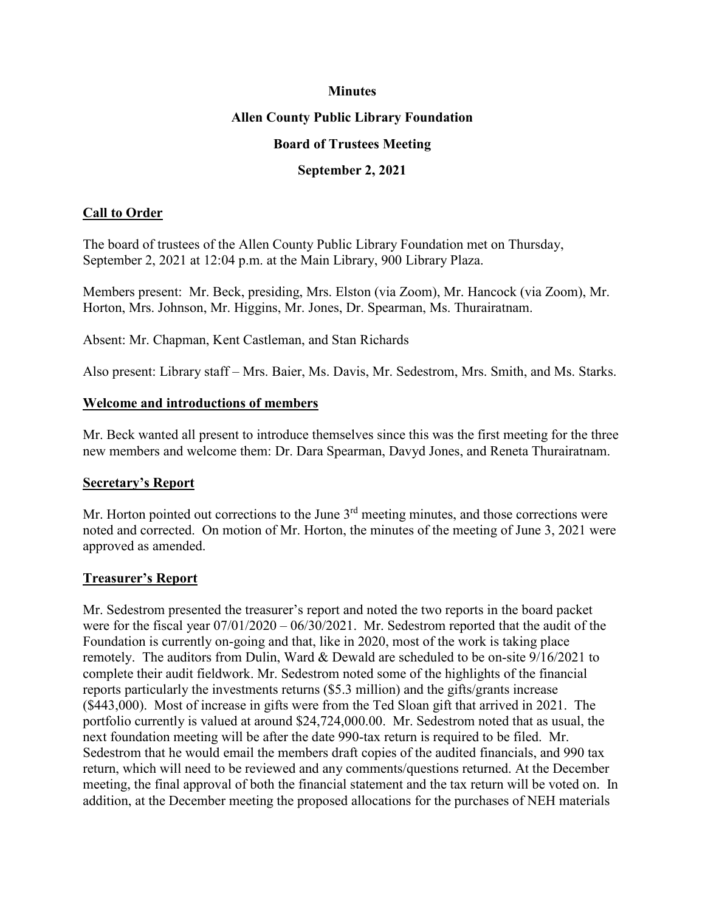#### **Minutes**

#### **Allen County Public Library Foundation**

#### **Board of Trustees Meeting**

#### **September 2, 2021**

## **Call to Order**

The board of trustees of the Allen County Public Library Foundation met on Thursday, September 2, 2021 at 12:04 p.m. at the Main Library, 900 Library Plaza.

Members present: Mr. Beck, presiding, Mrs. Elston (via Zoom), Mr. Hancock (via Zoom), Mr. Horton, Mrs. Johnson, Mr. Higgins, Mr. Jones, Dr. Spearman, Ms. Thurairatnam.

Absent: Mr. Chapman, Kent Castleman, and Stan Richards

Also present: Library staff – Mrs. Baier, Ms. Davis, Mr. Sedestrom, Mrs. Smith, and Ms. Starks.

#### **Welcome and introductions of members**

Mr. Beck wanted all present to introduce themselves since this was the first meeting for the three new members and welcome them: Dr. Dara Spearman, Davyd Jones, and Reneta Thurairatnam.

## **Secretary's Report**

Mr. Horton pointed out corrections to the June  $3<sup>rd</sup>$  meeting minutes, and those corrections were noted and corrected. On motion of Mr. Horton, the minutes of the meeting of June 3, 2021 were approved as amended.

## **Treasurer's Report**

Mr. Sedestrom presented the treasurer's report and noted the two reports in the board packet were for the fiscal year 07/01/2020 – 06/30/2021. Mr. Sedestrom reported that the audit of the Foundation is currently on-going and that, like in 2020, most of the work is taking place remotely. The auditors from Dulin, Ward & Dewald are scheduled to be on-site 9/16/2021 to complete their audit fieldwork. Mr. Sedestrom noted some of the highlights of the financial reports particularly the investments returns (\$5.3 million) and the gifts/grants increase (\$443,000). Most of increase in gifts were from the Ted Sloan gift that arrived in 2021. The portfolio currently is valued at around \$24,724,000.00. Mr. Sedestrom noted that as usual, the next foundation meeting will be after the date 990-tax return is required to be filed. Mr. Sedestrom that he would email the members draft copies of the audited financials, and 990 tax return, which will need to be reviewed and any comments/questions returned. At the December meeting, the final approval of both the financial statement and the tax return will be voted on. In addition, at the December meeting the proposed allocations for the purchases of NEH materials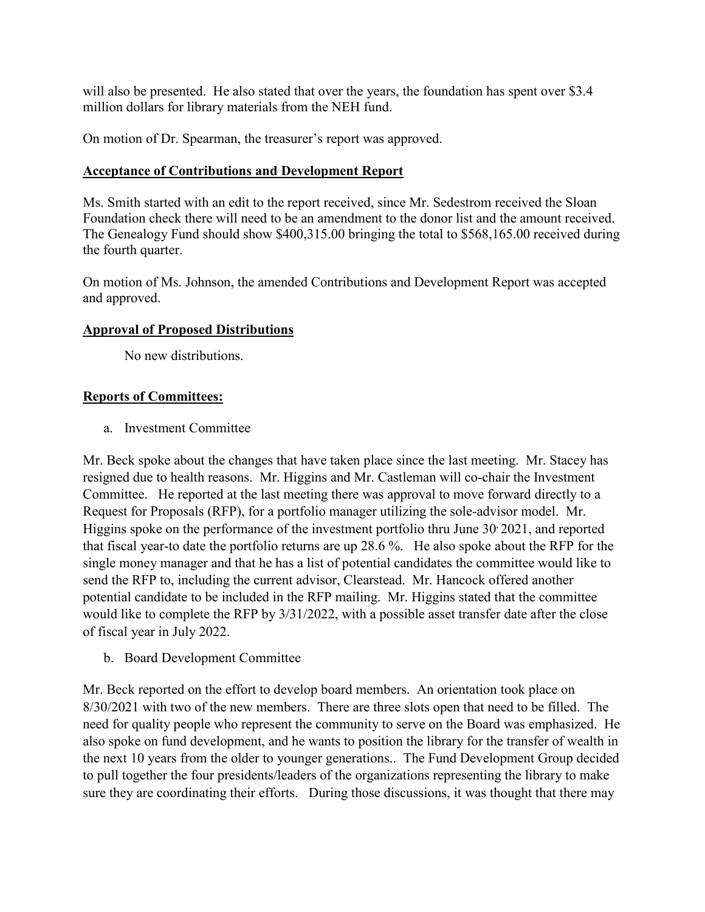will also be presented. He also stated that over the years, the foundation has spent over \$3.4 million dollars for library materials from the NEH fund.

On motion of Dr. Spearman, the treasurer's report was approved.

#### **Acceptance of Contributions and Development Report**

Ms. Smith started with an edit to the report received, since Mr. Sedestrom received the Sloan Foundation check there will need to be an amendment to the donor list and the amount received. The Genealogy Fund should show \$400,315.00 bringing the total to \$568,165.00 received during the fourth quarter.

On motion of Ms. Johnson, the amended Contributions and Development Report was accepted and approved.

#### **Approval of Proposed Distributions**

No new distributions.

## **Reports of Committees:**

a. Investment Committee

Mr. Beck spoke about the changes that have taken place since the last meeting. Mr. Stacey has resigned due to health reasons. Mr. Higgins and Mr. Castleman will co-chair the Investment Committee. He reported at the last meeting there was approval to move forward directly to a Request for Proposals (RFP), for a portfolio manager utilizing the sole-advisor model. Mr. Higgins spoke on the performance of the investment portfolio thru June 30 2021, and reported that fiscal year-to date the portfolio returns are up 28.6 %. He also spoke about the RFP for the single money manager and that he has a list of potential candidates the committee would like to send the RFP to, including the current advisor, Clearstead. Mr. Hancock offered another potential candidate to be included in the RFP mailing. Mr. Higgins stated that the committee would like to complete the RFP by 3/31/2022, with a possible asset transfer date after the close of fiscal year in July 2022.

b. Board Development Committee

Mr. Beck reported on the effort to develop board members. An orientation took place on 8/30/2021 with two of the new members. There are three slots open that need to be filled. The need for quality people who represent the community to serve on the Board was emphasized. He also spoke on fund development, and he wants to position the library for the transfer of wealth in the next 10 years from the older to younger generations.. The Fund Development Group decided to pull together the four presidents/leaders of the organizations representing the library to make sure they are coordinating their efforts. During those discussions, it was thought that there may